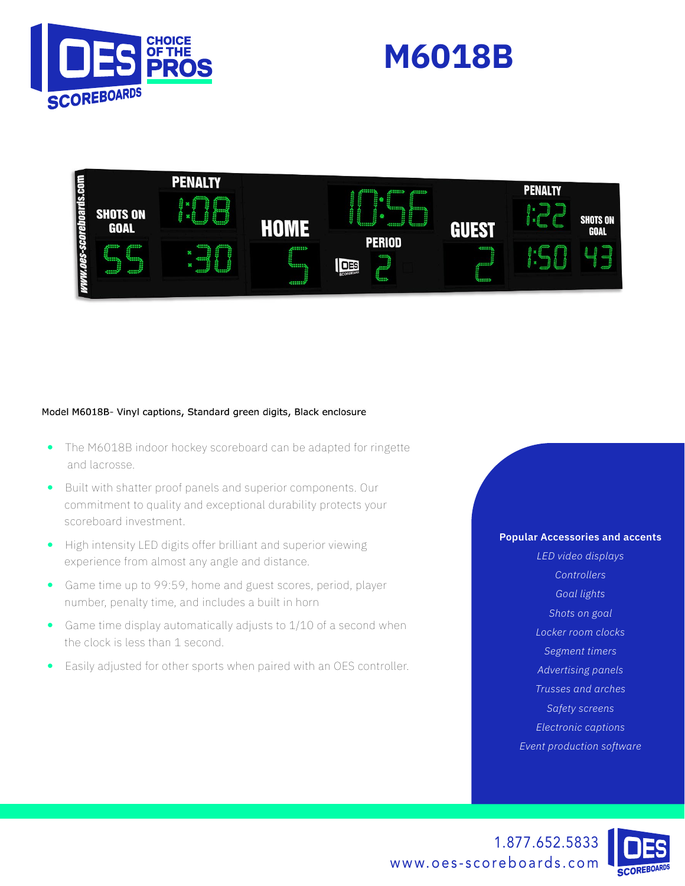





#### Model M6018B- Vinyl captions, Standard green digits, Black enclosure

- The M6018B indoor hockey scoreboard can be adapted for ringette and lacrosse.
- Built with shatter proof panels and superior components. Our commitment to quality and exceptional durability protects your scoreboard investment.
- High intensity LED digits offer brilliant and superior viewing experience from almost any angle and distance.
- Game time up to 99:59, home and guest scores, period, player number, penalty time, and includes a built in horn
- Game time display automatically adjusts to 1/10 of a second when the clock is less than 1 second.
- Easily adjusted for other sports when paired with an OES controller.

### **Popular Accessories and accents**

*LED video displays Controllers Goal lights Shots on goal Locker room clocks Segment timers Advertising panels Trusses and arches Safety screens Electronic captions Event production software*